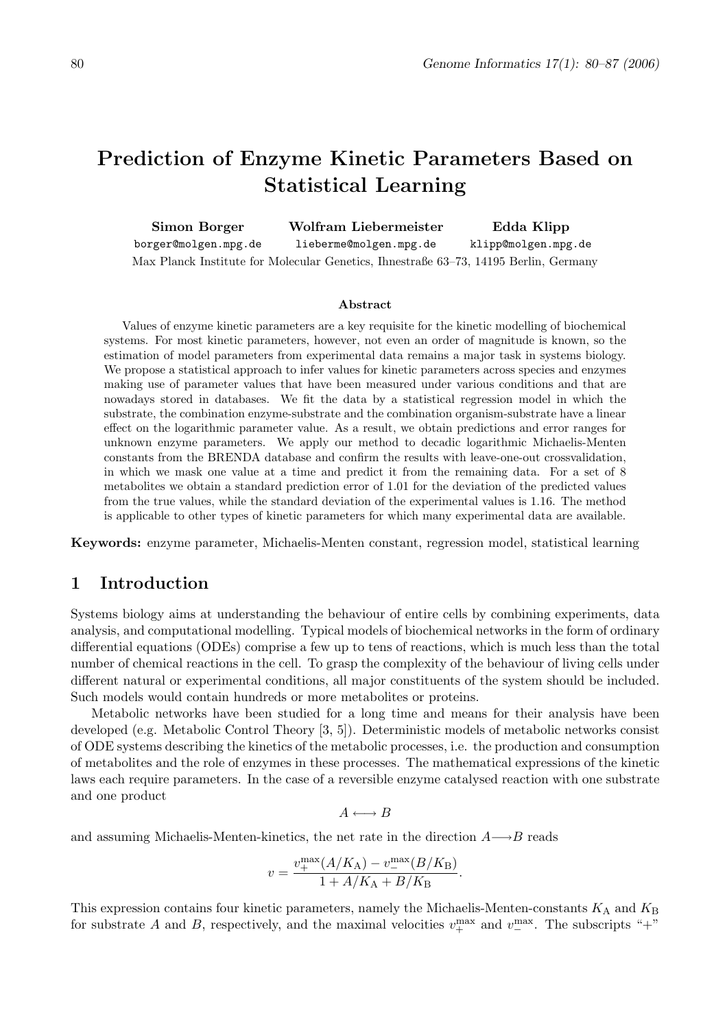# Prediction of Enzyme Kinetic Parameters Based on Statistical Learning

| Simon Borger         | Wolfram Liebermeister                                                                | Edda Klipp          |
|----------------------|--------------------------------------------------------------------------------------|---------------------|
| borger@molgen.mpg.de | lieberme@molgen.mpg.de                                                               | klipp@molgen.mpg.de |
|                      | Max Planck Institute for Molecular Genetics, Ihnestraße 63–73, 14195 Berlin, Germany |                     |

#### Abstract

Values of enzyme kinetic parameters are a key requisite for the kinetic modelling of biochemical systems. For most kinetic parameters, however, not even an order of magnitude is known, so the estimation of model parameters from experimental data remains a major task in systems biology. We propose a statistical approach to infer values for kinetic parameters across species and enzymes making use of parameter values that have been measured under various conditions and that are nowadays stored in databases. We fit the data by a statistical regression model in which the substrate, the combination enzyme-substrate and the combination organism-substrate have a linear effect on the logarithmic parameter value. As a result, we obtain predictions and error ranges for unknown enzyme parameters. We apply our method to decadic logarithmic Michaelis-Menten constants from the BRENDA database and confirm the results with leave-one-out crossvalidation, in which we mask one value at a time and predict it from the remaining data. For a set of 8 metabolites we obtain a standard prediction error of 1.01 for the deviation of the predicted values from the true values, while the standard deviation of the experimental values is 1.16. The method is applicable to other types of kinetic parameters for which many experimental data are available.

Keywords: enzyme parameter, Michaelis-Menten constant, regression model, statistical learning

## 1 Introduction

Systems biology aims at understanding the behaviour of entire cells by combining experiments, data analysis, and computational modelling. Typical models of biochemical networks in the form of ordinary differential equations (ODEs) comprise a few up to tens of reactions, which is much less than the total number of chemical reactions in the cell. To grasp the complexity of the behaviour of living cells under different natural or experimental conditions, all major constituents of the system should be included. Such models would contain hundreds or more metabolites or proteins.

Metabolic networks have been studied for a long time and means for their analysis have been developed (e.g. Metabolic Control Theory [3, 5]). Deterministic models of metabolic networks consist of ODE systems describing the kinetics of the metabolic processes, i.e. the production and consumption of metabolites and the role of enzymes in these processes. The mathematical expressions of the kinetic laws each require parameters. In the case of a reversible enzyme catalysed reaction with one substrate and one product

$$
A \longleftrightarrow B
$$

and assuming Michaelis-Menten-kinetics, the net rate in the direction  $A \rightarrow B$  reads

$$
v = \frac{v_+^{\text{max}}(A/K_{\text{A}}) - v_-^{\text{max}}(B/K_{\text{B}})}{1 + A/K_{\text{A}} + B/K_{\text{B}}}.
$$

This expression contains four kinetic parameters, namely the Michaelis-Menten-constants  $K_A$  and  $K_B$ for substrate A and B, respectively, and the maximal velocities  $v_+^{\text{max}}$  and  $v_-^{\text{max}}$ . The subscripts "+"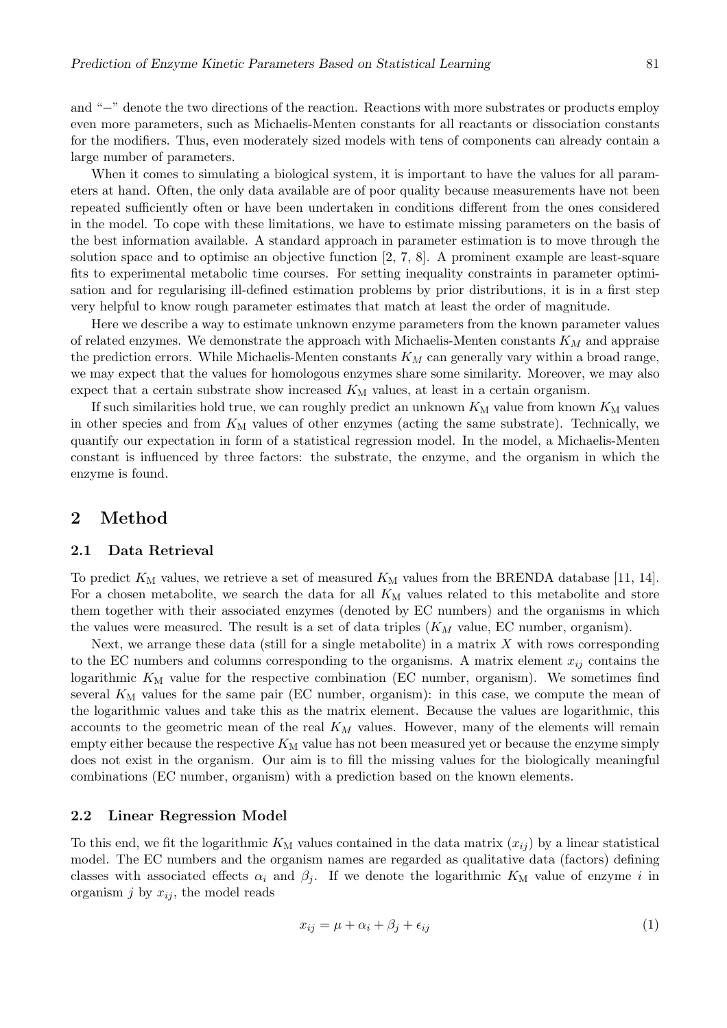and "−" denote the two directions of the reaction. Reactions with more substrates or products employ even more parameters, such as Michaelis-Menten constants for all reactants or dissociation constants for the modifiers. Thus, even moderately sized models with tens of components can already contain a large number of parameters.

When it comes to simulating a biological system, it is important to have the values for all parameters at hand. Often, the only data available are of poor quality because measurements have not been repeated sufficiently often or have been undertaken in conditions different from the ones considered in the model. To cope with these limitations, we have to estimate missing parameters on the basis of the best information available. A standard approach in parameter estimation is to move through the solution space and to optimise an objective function [2, 7, 8]. A prominent example are least-square fits to experimental metabolic time courses. For setting inequality constraints in parameter optimisation and for regularising ill-defined estimation problems by prior distributions, it is in a first step very helpful to know rough parameter estimates that match at least the order of magnitude.

Here we describe a way to estimate unknown enzyme parameters from the known parameter values of related enzymes. We demonstrate the approach with Michaelis-Menten constants  $K_M$  and appraise the prediction errors. While Michaelis-Menten constants  $K_M$  can generally vary within a broad range, we may expect that the values for homologous enzymes share some similarity. Moreover, we may also expect that a certain substrate show increased  $K<sub>M</sub>$  values, at least in a certain organism.

If such similarities hold true, we can roughly predict an unknown  $K_M$  value from known  $K_M$  values in other species and from  $K_M$  values of other enzymes (acting the same substrate). Technically, we quantify our expectation in form of a statistical regression model. In the model, a Michaelis-Menten constant is influenced by three factors: the substrate, the enzyme, and the organism in which the enzyme is found.

## 2 Method

#### 2.1 Data Retrieval

To predict  $K_{\text{M}}$  values, we retrieve a set of measured  $K_{\text{M}}$  values from the BRENDA database [11, 14]. For a chosen metabolite, we search the data for all  $K_M$  values related to this metabolite and store them together with their associated enzymes (denoted by EC numbers) and the organisms in which the values were measured. The result is a set of data triples  $(K_M$  value, EC number, organism).

Next, we arrange these data (still for a single metabolite) in a matrix  $X$  with rows corresponding to the EC numbers and columns corresponding to the organisms. A matrix element  $x_{ij}$  contains the logarithmic  $K_M$  value for the respective combination (EC number, organism). We sometimes find several  $K_M$  values for the same pair (EC number, organism): in this case, we compute the mean of the logarithmic values and take this as the matrix element. Because the values are logarithmic, this accounts to the geometric mean of the real  $K_M$  values. However, many of the elements will remain empty either because the respective  $K_M$  value has not been measured yet or because the enzyme simply does not exist in the organism. Our aim is to fill the missing values for the biologically meaningful combinations (EC number, organism) with a prediction based on the known elements.

#### 2.2 Linear Regression Model

To this end, we fit the logarithmic  $K_M$  values contained in the data matrix  $(x_{ij})$  by a linear statistical model. The EC numbers and the organism names are regarded as qualitative data (factors) defining classes with associated effects  $\alpha_i$  and  $\beta_j$ . If we denote the logarithmic  $K_M$  value of enzyme i in organism j by  $x_{ij}$ , the model reads

$$
x_{ij} = \mu + \alpha_i + \beta_j + \epsilon_{ij} \tag{1}
$$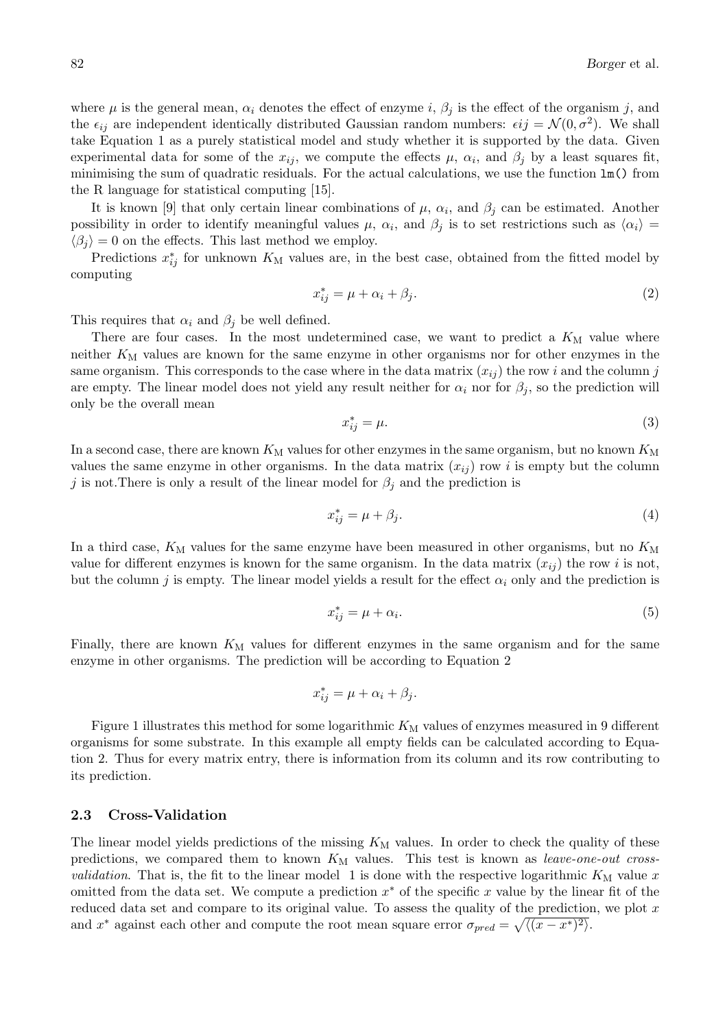where  $\mu$  is the general mean,  $\alpha_i$  denotes the effect of enzyme i,  $\beta_i$  is the effect of the organism j, and the  $\epsilon_{ij}$  are independent identically distributed Gaussian random numbers:  $\epsilon_{ij} = \mathcal{N}(0, \sigma^2)$ . We shall take Equation 1 as a purely statistical model and study whether it is supported by the data. Given experimental data for some of the  $x_{ij}$ , we compute the effects  $\mu$ ,  $\alpha_i$ , and  $\beta_j$  by a least squares fit, minimising the sum of quadratic residuals. For the actual calculations, we use the function lm() from the R language for statistical computing [15].

It is known [9] that only certain linear combinations of  $\mu$ ,  $\alpha_i$ , and  $\beta_j$  can be estimated. Another possibility in order to identify meaningful values  $\mu$ ,  $\alpha_i$ , and  $\beta_j$  is to set restrictions such as  $\langle \alpha_i \rangle =$  $\langle \beta_i \rangle = 0$  on the effects. This last method we employ.

Predictions  $x_{ij}^*$  for unknown  $K_M$  values are, in the best case, obtained from the fitted model by computing

$$
x_{ij}^* = \mu + \alpha_i + \beta_j. \tag{2}
$$

This requires that  $\alpha_i$  and  $\beta_j$  be well defined.

There are four cases. In the most undetermined case, we want to predict a  $K_{\rm M}$  value where neither  $K_{\text{M}}$  values are known for the same enzyme in other organisms nor for other enzymes in the same organism. This corresponds to the case where in the data matrix  $(x_{ij})$  the row i and the column j are empty. The linear model does not yield any result neither for  $\alpha_i$  nor for  $\beta_j$ , so the prediction will only be the overall mean

$$
x_{ij}^* = \mu. \tag{3}
$$

In a second case, there are known  $K_M$  values for other enzymes in the same organism, but no known  $K_M$ values the same enzyme in other organisms. In the data matrix  $(x_{ij})$  row i is empty but the column j is not. There is only a result of the linear model for  $\beta_j$  and the prediction is

$$
x_{ij}^* = \mu + \beta_j. \tag{4}
$$

In a third case,  $K_M$  values for the same enzyme have been measured in other organisms, but no  $K_M$ value for different enzymes is known for the same organism. In the data matrix  $(x_{ij})$  the row i is not, but the column j is empty. The linear model yields a result for the effect  $\alpha_i$  only and the prediction is

$$
x_{ij}^* = \mu + \alpha_i. \tag{5}
$$

Finally, there are known  $K_{\text{M}}$  values for different enzymes in the same organism and for the same enzyme in other organisms. The prediction will be according to Equation 2

$$
x_{ij}^* = \mu + \alpha_i + \beta_j.
$$

Figure 1 illustrates this method for some logarithmic  $K_M$  values of enzymes measured in 9 different organisms for some substrate. In this example all empty fields can be calculated according to Equation 2. Thus for every matrix entry, there is information from its column and its row contributing to its prediction.

### 2.3 Cross-Validation

The linear model yields predictions of the missing  $K_M$  values. In order to check the quality of these predictions, we compared them to known  $K_{\rm M}$  values. This test is known as *leave-one-out crossvalidation*. That is, the fit to the linear model 1 is done with the respective logarithmic  $K_M$  value x omitted from the data set. We compute a prediction  $x^*$  of the specific x value by the linear fit of the reduced data set and compare to its original value. To assess the quality of the prediction, we plot x and  $x^*$  against each other and compute the root mean square error  $\sigma_{pred} = \sqrt{\langle (x - x^*)^2 \rangle}$ .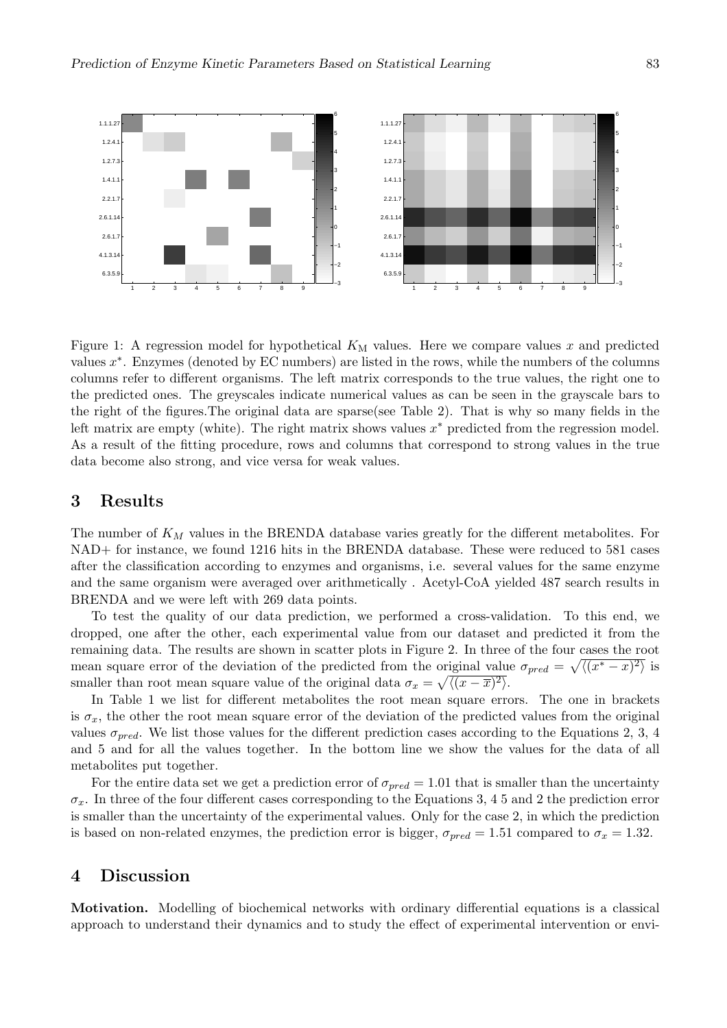

Figure 1: A regression model for hypothetical  $K<sub>M</sub>$  values. Here we compare values x and predicted values  $x^*$ . Enzymes (denoted by EC numbers) are listed in the rows, while the numbers of the columns columns refer to different organisms. The left matrix corresponds to the true values, the right one to the predicted ones. The greyscales indicate numerical values as can be seen in the grayscale bars to the right of the figures.The original data are sparse(see Table 2). That is why so many fields in the left matrix are empty (white). The right matrix shows values  $x^*$  predicted from the regression model. As a result of the fitting procedure, rows and columns that correspond to strong values in the true data become also strong, and vice versa for weak values.

## 3 Results

The number of  $K_M$  values in the BRENDA database varies greatly for the different metabolites. For NAD+ for instance, we found 1216 hits in the BRENDA database. These were reduced to 581 cases after the classification according to enzymes and organisms, i.e. several values for the same enzyme and the same organism were averaged over arithmetically . Acetyl-CoA yielded 487 search results in BRENDA and we were left with 269 data points.

To test the quality of our data prediction, we performed a cross-validation. To this end, we dropped, one after the other, each experimental value from our dataset and predicted it from the remaining data. The results are shown in scatter plots in Figure 2. In three of the four cases the root mean square error of the deviation of the predicted from the original value  $\sigma_{pred} = \sqrt{\langle (x^* - x)^2 \rangle}$  is smaller than root mean square value of the original data  $\sigma_x = \sqrt{\langle (x - \overline{x})^2 \rangle}$ .

In Table 1 we list for different metabolites the root mean square errors. The one in brackets is  $\sigma_x$ , the other the root mean square error of the deviation of the predicted values from the original values  $\sigma_{pred}$ . We list those values for the different prediction cases according to the Equations 2, 3, 4 and 5 and for all the values together. In the bottom line we show the values for the data of all metabolites put together.

For the entire data set we get a prediction error of  $\sigma_{pred} = 1.01$  that is smaller than the uncertainty  $\sigma_x$ . In three of the four different cases corresponding to the Equations 3, 4 5 and 2 the prediction error is smaller than the uncertainty of the experimental values. Only for the case 2, in which the prediction is based on non-related enzymes, the prediction error is bigger,  $\sigma_{pred} = 1.51$  compared to  $\sigma_x = 1.32$ .

## 4 Discussion

Motivation. Modelling of biochemical networks with ordinary differential equations is a classical approach to understand their dynamics and to study the effect of experimental intervention or envi-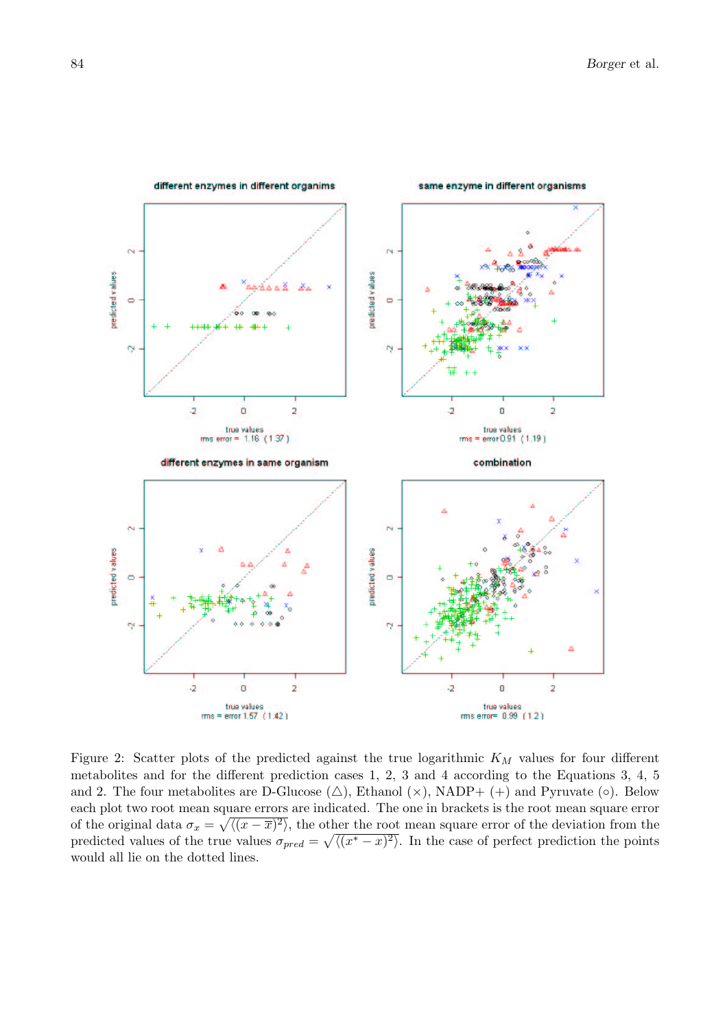

Figure 2: Scatter plots of the predicted against the true logarithmic  $K_M$  values for four different metabolites and for the different prediction cases 1, 2, 3 and 4 according to the Equations 3, 4, 5 and 2. The four metabolites are D-Glucose  $(\triangle)$ , Ethanol  $(\times)$ , NADP+  $(+)$  and Pyruvate  $(\circ)$ . Below each plot two root mean square errors are indicated. The one in brackets is the root mean square error of the original data  $\sigma_x =$ qı  $\sqrt{(x-\overline{x})^2}$ , the other the root mean square error of the deviation from the predicted values of the true values  $\sigma_{pred} =$  $\frac{1}{2}$  $\sqrt{(x^2-x)^2}$ . In the case of perfect prediction the points would all lie on the dotted lines.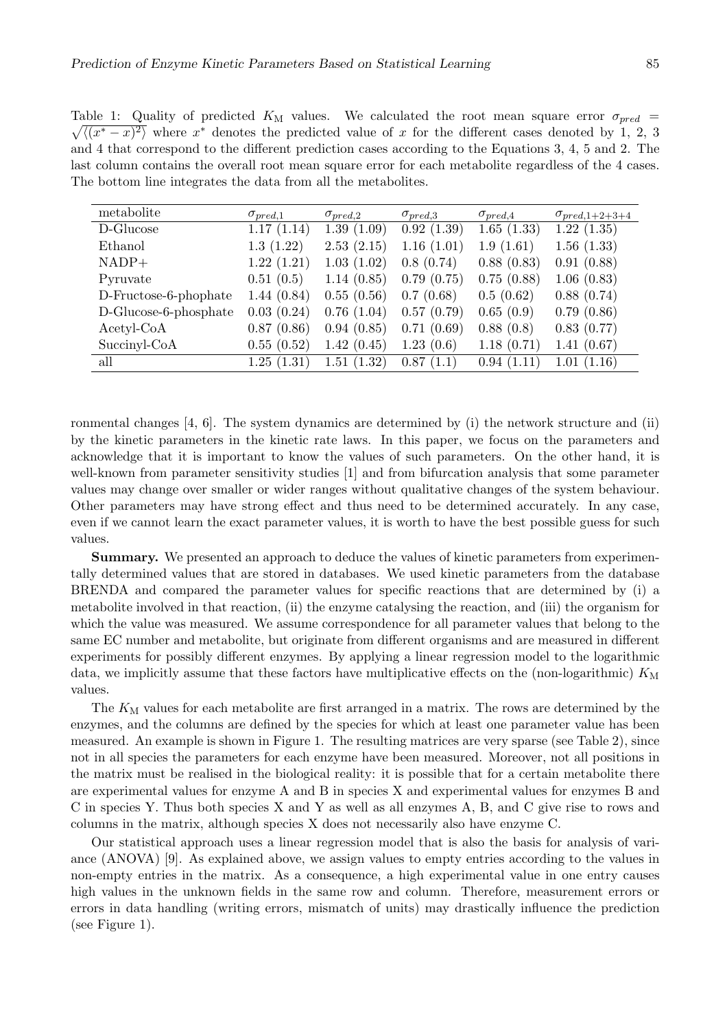Table 1: Quality of predicted  $K_M$  values. We calculated the root mean square error  $\sigma_{pred}$  =  $\sqrt{(x^2-x)^2}$  where x<sup>\*</sup> denotes the predicted value of x for the different cases denoted by 1, 2, 3 and 4 that correspond to the different prediction cases according to the Equations 3, 4, 5 and 2. The last column contains the overall root mean square error for each metabolite regardless of the 4 cases. The bottom line integrates the data from all the metabolites.

| metabolite            | $\sigma_{pred,1}$ | $\sigma_{pred,2}$ | $\sigma_{pred,3}$ | $\sigma_{pred,4}$ | $\sigma_{pred,1+2+3+4}$ |
|-----------------------|-------------------|-------------------|-------------------|-------------------|-------------------------|
| D-Glucose             | 1.17(1.14)        | 1.39(1.09)        | 0.92(1.39)        | 1.65(1.33)        | 1.22(1.35)              |
| Ethanol               | 1.3(1.22)         | 2.53(2.15)        | 1.16(1.01)        | 1.9(1.61)         | 1.56(1.33)              |
| $NADP+$               | 1.22(1.21)        | 1.03(1.02)        | 0.8(0.74)         | 0.88(0.83)        | 0.91(0.88)              |
| Pyruvate              | 0.51(0.5)         | 1.14(0.85)        | 0.79(0.75)        | 0.75(0.88)        | 1.06(0.83)              |
| D-Fructose-6-phophate | 1.44(0.84)        | 0.55(0.56)        | 0.7(0.68)         | 0.5(0.62)         | 0.88(0.74)              |
| D-Glucose-6-phosphate | 0.03(0.24)        | 0.76(1.04)        | 0.57(0.79)        | 0.65(0.9)         | 0.79(0.86)              |
| $Acetyl\text{-}CoA$   | 0.87(0.86)        | 0.94(0.85)        | 0.71(0.69)        | 0.88(0.8)         | 0.83(0.77)              |
| Succinyl-CoA          | 0.55(0.52)        | 1.42(0.45)        | 1.23(0.6)         | 1.18(0.71)        | 1.41(0.67)              |
| all                   | 1.25(1.31)        | 1.51(1.32)        | 0.87(1.1)         | 0.94(1.11)        | 1.01(1.16)              |

ronmental changes [4, 6]. The system dynamics are determined by (i) the network structure and (ii) by the kinetic parameters in the kinetic rate laws. In this paper, we focus on the parameters and acknowledge that it is important to know the values of such parameters. On the other hand, it is well-known from parameter sensitivity studies [1] and from bifurcation analysis that some parameter values may change over smaller or wider ranges without qualitative changes of the system behaviour. Other parameters may have strong effect and thus need to be determined accurately. In any case, even if we cannot learn the exact parameter values, it is worth to have the best possible guess for such values.

Summary. We presented an approach to deduce the values of kinetic parameters from experimentally determined values that are stored in databases. We used kinetic parameters from the database BRENDA and compared the parameter values for specific reactions that are determined by (i) a metabolite involved in that reaction, (ii) the enzyme catalysing the reaction, and (iii) the organism for which the value was measured. We assume correspondence for all parameter values that belong to the same EC number and metabolite, but originate from different organisms and are measured in different experiments for possibly different enzymes. By applying a linear regression model to the logarithmic data, we implicitly assume that these factors have multiplicative effects on the (non-logarithmic)  $K_{\rm M}$ values.

The  $K_{\text{M}}$  values for each metabolite are first arranged in a matrix. The rows are determined by the enzymes, and the columns are defined by the species for which at least one parameter value has been measured. An example is shown in Figure 1. The resulting matrices are very sparse (see Table 2), since not in all species the parameters for each enzyme have been measured. Moreover, not all positions in the matrix must be realised in the biological reality: it is possible that for a certain metabolite there are experimental values for enzyme A and B in species X and experimental values for enzymes B and C in species Y. Thus both species X and Y as well as all enzymes A, B, and C give rise to rows and columns in the matrix, although species X does not necessarily also have enzyme C.

Our statistical approach uses a linear regression model that is also the basis for analysis of variance (ANOVA) [9]. As explained above, we assign values to empty entries according to the values in non-empty entries in the matrix. As a consequence, a high experimental value in one entry causes high values in the unknown fields in the same row and column. Therefore, measurement errors or errors in data handling (writing errors, mismatch of units) may drastically influence the prediction (see Figure 1).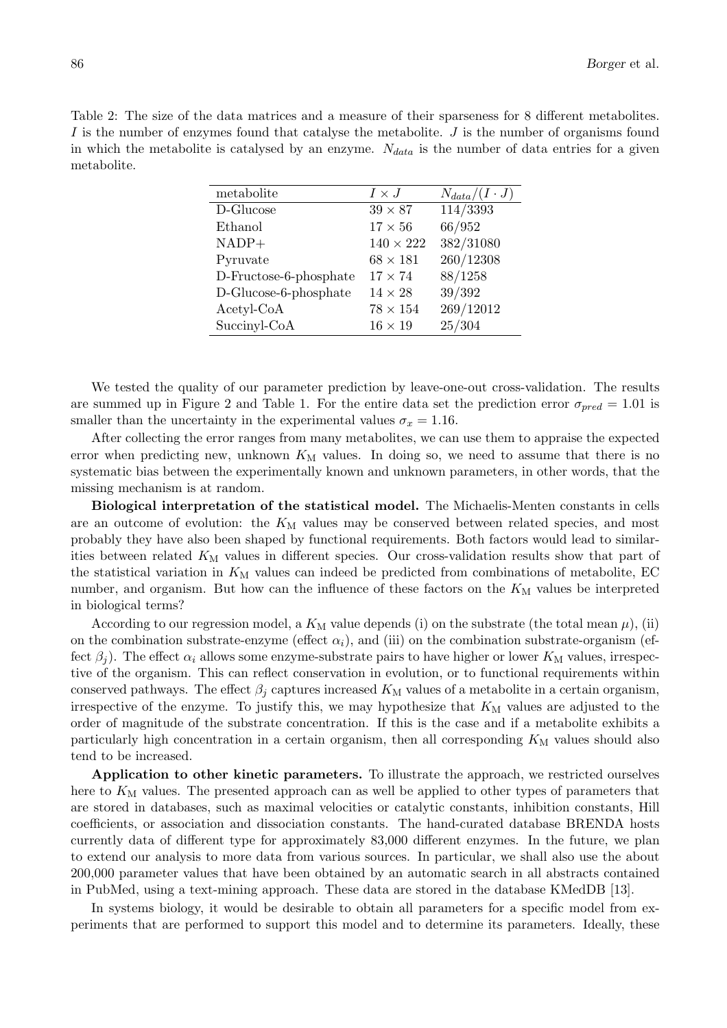Table 2: The size of the data matrices and a measure of their sparseness for 8 different metabolites. I is the number of enzymes found that catalyse the metabolite. J is the number of organisms found in which the metabolite is catalysed by an enzyme.  $N_{data}$  is the number of data entries for a given metabolite.

| metabolite             | $I \times J$     | $N_{data}/(I \cdot J)$ |
|------------------------|------------------|------------------------|
| D-Glucose              | $39 \times 87$   | 114/3393               |
| Ethanol                | $17 \times 56$   | 66/952                 |
| $NADP+$                | $140 \times 222$ | 382/31080              |
| Pyruvate               | $68 \times 181$  | 260/12308              |
| D-Fructose-6-phosphate | $17 \times 74$   | 88/1258                |
| D-Glucose-6-phosphate  | $14 \times 28$   | 39/392                 |
| $Acetyl\text{-}CoA$    | $78 \times 154$  | 269/12012              |
| Succinyl-CoA           | $16 \times 19$   | 25/304                 |

We tested the quality of our parameter prediction by leave-one-out cross-validation. The results are summed up in Figure 2 and Table 1. For the entire data set the prediction error  $\sigma_{pred} = 1.01$  is smaller than the uncertainty in the experimental values  $\sigma_x = 1.16$ .

After collecting the error ranges from many metabolites, we can use them to appraise the expected error when predicting new, unknown  $K_M$  values. In doing so, we need to assume that there is no systematic bias between the experimentally known and unknown parameters, in other words, that the missing mechanism is at random.

Biological interpretation of the statistical model. The Michaelis-Menten constants in cells are an outcome of evolution: the  $K_M$  values may be conserved between related species, and most probably they have also been shaped by functional requirements. Both factors would lead to similarities between related  $K_{\text{M}}$  values in different species. Our cross-validation results show that part of the statistical variation in  $K_M$  values can indeed be predicted from combinations of metabolite, EC number, and organism. But how can the influence of these factors on the  $K_M$  values be interpreted in biological terms?

According to our regression model, a  $K_M$  value depends (i) on the substrate (the total mean  $\mu$ ), (ii) on the combination substrate-enzyme (effect  $\alpha_i$ ), and (iii) on the combination substrate-organism (effect  $\beta_i$ ). The effect  $\alpha_i$  allows some enzyme-substrate pairs to have higher or lower  $K_M$  values, irrespective of the organism. This can reflect conservation in evolution, or to functional requirements within conserved pathways. The effect  $\beta_j$  captures increased  $K_M$  values of a metabolite in a certain organism, irrespective of the enzyme. To justify this, we may hypothesize that  $K_{\rm M}$  values are adjusted to the order of magnitude of the substrate concentration. If this is the case and if a metabolite exhibits a particularly high concentration in a certain organism, then all corresponding  $K<sub>M</sub>$  values should also tend to be increased.

Application to other kinetic parameters. To illustrate the approach, we restricted ourselves here to  $K_{\text{M}}$  values. The presented approach can as well be applied to other types of parameters that are stored in databases, such as maximal velocities or catalytic constants, inhibition constants, Hill coefficients, or association and dissociation constants. The hand-curated database BRENDA hosts currently data of different type for approximately 83,000 different enzymes. In the future, we plan to extend our analysis to more data from various sources. In particular, we shall also use the about 200,000 parameter values that have been obtained by an automatic search in all abstracts contained in PubMed, using a text-mining approach. These data are stored in the database KMedDB [13].

In systems biology, it would be desirable to obtain all parameters for a specific model from experiments that are performed to support this model and to determine its parameters. Ideally, these